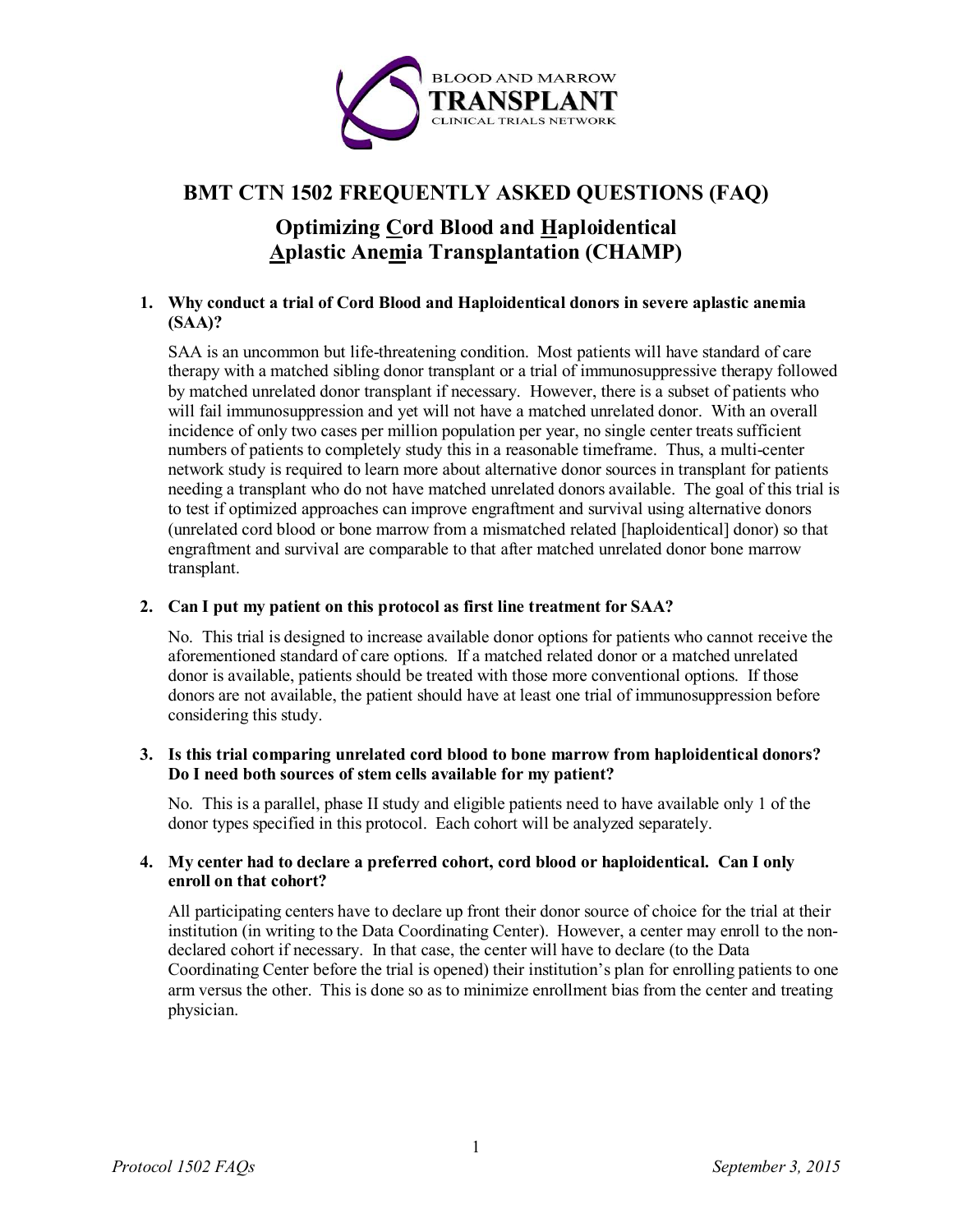

## **BMT CTN 1502 FREQUENTLY ASKED QUESTIONS (FAQ)**

# **Optimizing Cord Blood and Haploidentical Aplastic Anemia Transplantation (CHAMP)**

## **1. Why conduct a trial of Cord Blood and Haploidentical donors in severe aplastic anemia (SAA)?**

SAA is an uncommon but life-threatening condition. Most patients will have standard of care therapy with a matched sibling donor transplant or a trial of immunosuppressive therapy followed by matched unrelated donor transplant if necessary. However, there is a subset of patients who will fail immunosuppression and yet will not have a matched unrelated donor. With an overall incidence of only two cases per million population per year, no single center treats sufficient numbers of patients to completely study this in a reasonable timeframe. Thus, a multi-center network study is required to learn more about alternative donor sources in transplant for patients needing a transplant who do not have matched unrelated donors available. The goal of this trial is to test if optimized approaches can improve engraftment and survival using alternative donors (unrelated cord blood or bone marrow from a mismatched related [haploidentical] donor) so that engraftment and survival are comparable to that after matched unrelated donor bone marrow transplant.

## **2. Can I put my patient on this protocol as first line treatment for SAA?**

No. This trial is designed to increase available donor options for patients who cannot receive the aforementioned standard of care options. If a matched related donor or a matched unrelated donor is available, patients should be treated with those more conventional options. If those donors are not available, the patient should have at least one trial of immunosuppression before considering this study.

#### **3. Is this trial comparing unrelated cord blood to bone marrow from haploidentical donors? Do I need both sources of stem cells available for my patient?**

No. This is a parallel, phase II study and eligible patients need to have available only 1 of the donor types specified in this protocol. Each cohort will be analyzed separately.

#### **4. My center had to declare a preferred cohort, cord blood or haploidentical. Can I only enroll on that cohort?**

All participating centers have to declare up front their donor source of choice for the trial at their institution (in writing to the Data Coordinating Center). However, a center may enroll to the nondeclared cohort if necessary. In that case, the center will have to declare (to the Data Coordinating Center before the trial is opened) their institution's plan for enrolling patients to one arm versus the other. This is done so as to minimize enrollment bias from the center and treating physician.